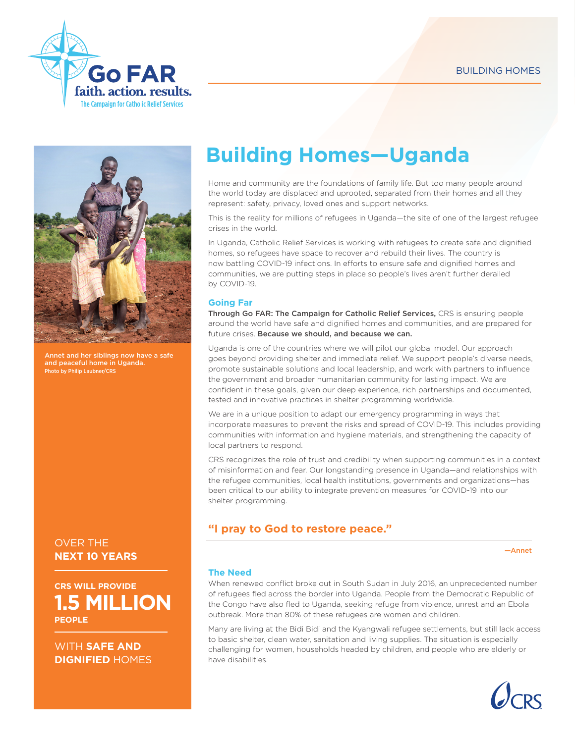



het and her siblings now have a safe and peaceful home in Uganda. Photo by Philip Laubner/CRS

OVER THE **NEXT 10 YEARS** 

**1.5 MILLION CRS WILL PROVIDE PEOPLE**

WITH **SAFE AND DIGNIFIED** HOMES

# **Building Homes—Uganda**

Home and community are the foundations of family life. But too many people around the world today are displaced and uprooted, separated from their homes and all they represent: safety, privacy, loved ones and support networks.

This is the reality for millions of refugees in Uganda—the site of one of the largest refugee crises in the world.

In Uganda, Catholic Relief Services is working with refugees to create safe and dignified homes, so refugees have space to recover and rebuild their lives. The country is now battling COVID-19 infections. In efforts to ensure safe and dignified homes and communities, we are putting steps in place so people's lives aren't further derailed by COVID-19.

#### **Going Far**

Through Go FAR: The Campaign for Catholic Relief Services, CRS is ensuring people around the world have safe and dignified homes and communities, and are prepared for future crises. Because we should, and because we can.

Uganda is one of the countries where we will pilot our global model. Our approach goes beyond providing shelter and immediate relief. We support people's diverse needs, promote sustainable solutions and local leadership, and work with partners to influence the government and broader humanitarian community for lasting impact. We are confident in these goals, given our deep experience, rich partnerships and documented, tested and innovative practices in shelter programming worldwide.

We are in a unique position to adapt our emergency programming in ways that incorporate measures to prevent the risks and spread of COVID-19. This includes providing communities with information and hygiene materials, and strengthening the capacity of local partners to respond.

CRS recognizes the role of trust and credibility when supporting communities in a context of misinformation and fear. Our longstanding presence in Uganda—and relationships with the refugee communities, local health institutions, governments and organizations—has been critical to our ability to integrate prevention measures for COVID-19 into our shelter programming.

# **"I pray to God to restore peace."**

—Annet

#### **The Need**

When renewed conflict broke out in South Sudan in July 2016, an unprecedented number of refugees fled across the border into Uganda. People from the Democratic Republic of the Congo have also fled to Uganda, seeking refuge from violence, unrest and an Ebola outbreak. More than 80% of these refugees are women and children.

Many are living at the Bidi Bidi and the Kyangwali refugee settlements, but still lack access to basic shelter, clean water, sanitation and living supplies. The situation is especially challenging for women, households headed by children, and people who are elderly or have disabilities.